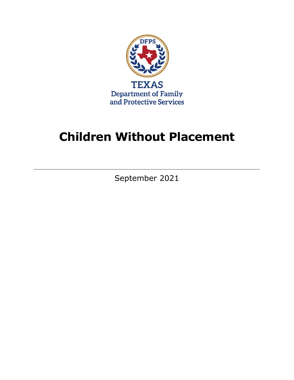

# **Children Without Placement**

September 2021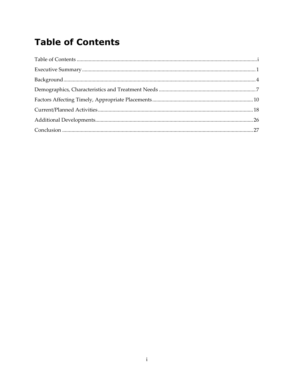## <span id="page-2-0"></span>**Table of Contents**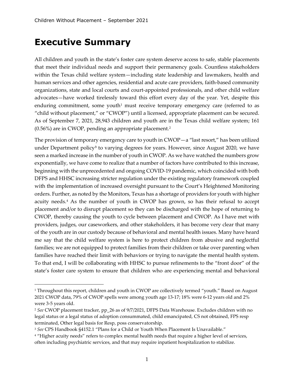## <span id="page-4-0"></span>**Executive Summary**

All children and youth in the state's foster care system deserve access to safe, stable placements that meet their individual needs and support their permanency goals. Countless stakeholders within the Texas child welfare system—including state leadership and lawmakers, health and human services and other agencies, residential and acute care providers, faith-based community organizations, state and local courts and court-appointed professionals, and other child welfare advocates—have worked tirelessly toward this effort every day of the year. Yet, despite this enduring commitment, some youth<sup>1</sup> must receive temporary emergency care (referred to as "child without placement," or "CWOP") until a licensed, appropriate placement can be secured. As of September 7, 2021, 28,943 children and youth are in the Texas child welfare system; 161 (0.56%) are in CWOP, pending an appropriate placement.[2](#page-4-2)

The provision of temporary emergency care to youth in CWOP—a "last resort," has been utilized under Department policy**[3](#page-4-3)** to varying degrees for years. However, since August 2020, we have seen a marked increase in the number of youth in CWOP. As we have watched the numbers grow exponentially, we have come to realize that a number of factors have contributed to this increase, beginning with the unprecedented and ongoing COVID-19 pandemic, which coincided with both DFPS and HHSC increasing stricter regulation under the existing regulatory framework coupled with the implementation of increased oversight pursuant to the Court's Heightened Monitoring orders. Further, as noted by the Monitors, Texas has a shortage of providers for youth with higher acuity needs.<sup>4</sup> As the number of youth in CWOP has grown, so has their refusal to accept placement and/or to disrupt placement so they can be discharged with the hope of returning to CWOP, thereby causing the youth to cycle between placement and CWOP. As I have met with providers, judges, our caseworkers, and other stakeholders, it has become very clear that many of the youth are in our custody because of behavioral and mental health issues. Many have heard me say that the child welfare system is here to protect children from abusive and neglectful families; we are not equipped to protect families from their children or take over parenting when families have reached their limit with behaviors or trying to navigate the mental health system. To that end, I will be collaborating with HHSC to pursue refinements to the "front door" of the state's foster care system to ensure that children who are experiencing mental and behavioral

<span id="page-4-1"></span><sup>&</sup>lt;sup>1</sup> Throughout this report, children and youth in CWOP are collectively termed "youth." Based on August 2021 CWOP data, 79% of CWOP spells were among youth age 13-17; 18% were 6-12 years old and 2% were 3-5 years old.

<span id="page-4-2"></span><sup>2</sup> *See* CWOP placement tracker, pp\_26 as of 9/7/2021, DFPS Data Warehouse. Excludes children with no legal status or a legal status of adoption consummated, child emancipated, CS not obtained, FPS resp terminated, Other legal basis for Resp, poss conservatorship.

<span id="page-4-3"></span><sup>3</sup> *See* CPS Handbook §4152.1 "Plans for a Child or Youth When Placement Is Unavailable."

<span id="page-4-4"></span><sup>&</sup>lt;sup>4</sup> "Higher acuity needs" refers to complex mental health needs that require a higher level of services, often including psychiatric services, and that may require inpatient hospitalization to stabilize.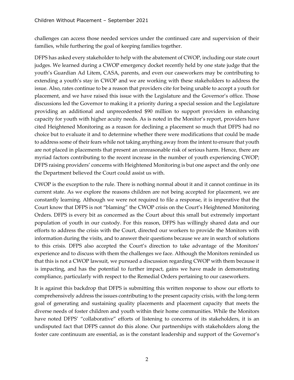challenges can access those needed services under the continued care and supervision of their families, while furthering the goal of keeping families together.

DFPS has asked every stakeholder to help with the abatement of CWOP, including our state court judges. We learned during a CWOP emergency docket recently held by one state judge that the youth's Guardian Ad Litem, CASA, parents, and even our caseworkers may be contributing to extending a youth's stay in CWOP and we are working with these stakeholders to address the issue. Also, rates continue to be a reason that providers cite for being unable to accept a youth for placement, and we have raised this issue with the Legislature and the Governor's office. Those discussions led the Governor to making it a priority during a special session and the Legislature providing an additional and unprecedented \$90 million to support providers in enhancing capacity for youth with higher acuity needs. As is noted in the Monitor's report, providers have cited Heightened Monitoring as a reason for declining a placement so much that DFPS had no choice but to evaluate it and to determine whether there were modifications that could be made to address some of their fears while not taking anything away from the intent to ensure that youth are not placed in placements that present an unreasonable risk of serious harm. Hence, there are myriad factors contributing to the recent increase in the number of youth experiencing CWOP; DFPS raising providers' concerns with Heightened Monitoring is but one aspect and the only one the Department believed the Court could assist us with.

CWOP is the exception to the rule. There is nothing normal about it and it cannot continue in its current state. As we explore the reasons children are not being accepted for placement, we are constantly learning. Although we were not required to file a response, it is imperative that the Court know that DFPS is not "blaming" the CWOP crisis on the Court's Heightened Monitoring Orders. DFPS is every bit as concerned as the Court about this small but extremely important population of youth in our custody. For this reason, DFPS has willingly shared data and our efforts to address the crisis with the Court, directed our workers to provide the Monitors with information during the visits, and to answer their questions because we are in search of solutions to this crisis. DFPS also accepted the Court's direction to take advantage of the Monitors' experience and to discuss with them the challenges we face. Although the Monitors reminded us that this is not a CWOP lawsuit, we pursued a discussion regarding CWOP with them because it is impacting, and has the potential to further impact, gains we have made in demonstrating compliance, particularly with respect to the Remedial Orders pertaining to our caseworkers.

It is against this backdrop that DFPS is submitting this written response to show our efforts to comprehensively address the issues contributing to the present capacity crisis, with the long-term goal of generating and sustaining quality placements and placement capacity that meets the diverse needs of foster children and youth within their home communities. While the Monitors have noted DFPS' "collaborative" efforts of listening to concerns of its stakeholders, it is an undisputed fact that DFPS cannot do this alone. Our partnerships with stakeholders along the foster care continuum are essential, as is the constant leadership and support of the Governor's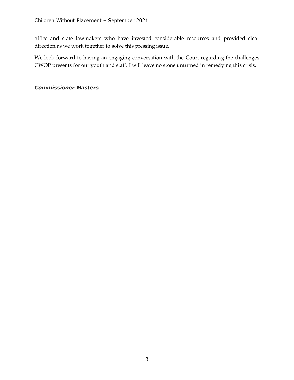office and state lawmakers who have invested considerable resources and provided clear direction as we work together to solve this pressing issue.

We look forward to having an engaging conversation with the Court regarding the challenges CWOP presents for our youth and staff. I will leave no stone unturned in remedying this crisis.

## *Commissioner Masters*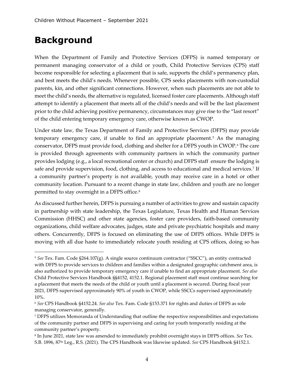## <span id="page-7-0"></span>**Background**

When the Department of Family and Protective Services (DFPS) is named temporary or permanent managing conservator of a child or youth, Child Protective Services (CPS) staff become responsible for selecting a placement that is safe, supports the child's permanency plan, and best meets the child's needs. Whenever possible, CPS seeks placements with non-custodial parents, kin, and other significant connections. However, when such placements are not able to meet the child's needs, the alternative is regulated, licensed foster care placements. Although staff attempt to identify a placement that meets all of the child's needs and will be the last placement prior to the child achieving positive permanency, circumstances may give rise to the "last resort" of the child entering temporary emergency care, otherwise known as CWOP.

Under state law, the Texas Department of Family and Protective Services (DFPS) may provide temporary emergency care, if unable to find an appropriate placement.<sup>[5](#page-7-1)</sup> As the managing conservator, DFPS must provide food, clothing and shelter for a DFPS youth in CWOP.<sup>[6](#page-7-2)</sup> The care is provided through agreements with community partners in which the community partner provides lodging (e.g., a local recreational center or church) and DFPS staff ensure the lodging is safe and provide supervision, food, clothing, and access to educational and medical services.<sup>[7](#page-7-3)</sup> If a community partner's property is not available, youth may receive care in a hotel or other community location. Pursuant to a recent change in state law, children and youth are no longer permitted to stay overnight in a DFPS office.<sup>[8](#page-7-4)</sup>

As discussed further herein, DFPS is pursuing a number of activities to grow and sustain capacity in partnership with state leadership, the Texas Legislature, Texas Health and Human Services Commission (HHSC) and other state agencies, foster care providers, faith-based community organizations, child welfare advocates, judges, state and private psychiatric hospitals and many others. Concurrently, DFPS is focused on eliminating the use of DFPS offices. While DFPS is moving with all due haste to immediately relocate youth residing at CPS offices, doing so has

<span id="page-7-1"></span><sup>5</sup> *See* Tex. Fam. Code §264.107(g). A single source continuum contractor ("SSCC"), an entity contracted with DFPS to provide services to children and families within a designated geographic catchment area, is also authorized to provide temporary emergency care if unable to find an appropriate placement. *See also*  Child Protective Services Handbook §§4152, 4152.1. Regional placement staff must continue searching for a placement that meets the needs of the child or youth until a placement is secured. During fiscal year 2021, DFPS supervised approximately 90% of youth in CWOP, while SSCCs supervised approximately 10%.

<span id="page-7-2"></span><sup>6</sup> *See* CPS Handbook §4152.24. *See also* Tex. Fam. Code §153.371 for rights and duties of DFPS as sole managing conservator, generally.

<span id="page-7-3"></span><sup>7</sup> DFPS utilizes Memoranda of Understanding that outline the respective responsibilities and expectations of the community partner and DFPS in supervising and caring for youth temporarily residing at the community partner's property.

<span id="page-7-4"></span><sup>8</sup> In June 2021, state law was amended to immediately prohibit overnight stays in DFPS offices. *See* Tex. S.B. 1896, 87th Leg., R.S. (2021). The CPS Handbook was likewise updated. *See* CPS Handbook §4152.1.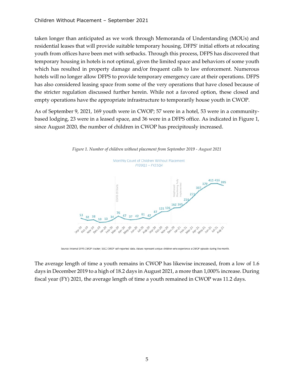taken longer than anticipated as we work through Memoranda of Understanding (MOUs) and residential leases that will provide suitable temporary housing. DFPS' initial efforts at relocating youth from offices have been met with setbacks. Through this process, DFPS has discovered that temporary housing in hotels is not optimal, given the limited space and behaviors of some youth which has resulted in property damage and/or frequent calls to law enforcement. Numerous hotels will no longer allow DFPS to provide temporary emergency care at their operations. DFPS has also considered leasing space from some of the very operations that have closed because of the stricter regulation discussed further herein. While not a favored option, these closed and empty operations have the appropriate infrastructure to temporarily house youth in CWOP.

As of September 9, 2021, 169 youth were in CWOP; 57 were in a hotel, 53 were in a communitybased lodging, 23 were in a leased space, and 36 were in a DFPS office. As indicated in Figure 1, since August 2020, the number of children in CWOP has precipitously increased.



Source: Internal DFPS CWOP tracker; SSCC CWOP self-reported data. Values represent unique children who experience a CWOP episode during the month

The average length of time a youth remains in CWOP has likewise increased, from a low of 1.6 days in December 2019 to a high of 18.2 days in August 2021, a more than 1,000% increase. During fiscal year (FY) 2021, the average length of time a youth remained in CWOP was 11.2 days.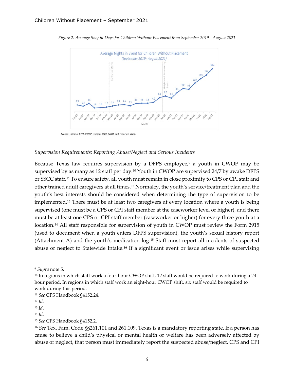

*Figure 2. Average Stay in Days for Children Without Placement from September 2019 - August 2021*

Source: Internal DFPS CWOP tracker; SSCC CWOP self-reported data.

#### *Supervision Requirements; Reporting Abuse/Neglect and Serious Incidents*

Because Texas law requires supervision by a DFPS employee, $9$  a youth in CWOP may be supervised by as many as 12 staff per day.[10](#page-9-1) Youth in CWOP are supervised 24/7 by awake DFPS or SSCC staff.[11](#page-9-2) To ensure safety, all youth must remain in close proximity to CPS or CPI staff and other trained adult caregivers at all times.[12](#page-9-3) Normalcy, the youth's service/treatment plan and the youth's best interests should be considered when determining the type of supervision to be implemented.<sup>[13](#page-9-4)</sup> There must be at least two caregivers at every location where a youth is being supervised (one must be a CPS or CPI staff member at the caseworker level or higher), and there must be at least one CPS or CPI staff member (caseworker or higher) for every three youth at a location.<sup>[14](#page-9-5)</sup> All staff responsible for supervision of youth in CWOP must review the Form 2915 (used to document when a youth enters DFPS supervision), the youth's sexual history report (Attachment A) and the youth's medication log.[15](#page-9-6) Staff must report all incidents of suspected abuse or neglect to Statewide Intake.**[16](#page-9-7)** If a significant event or issue arises while supervising

<span id="page-9-0"></span><sup>9</sup> *Supra* note 5.

<span id="page-9-1"></span><sup>&</sup>lt;sup>10</sup> In regions in which staff work a four-hour CWOP shift, 12 staff would be required to work during a 24hour period. In regions in which staff work an eight-hour CWOP shift, six staff would be required to work during this period.

<span id="page-9-2"></span><sup>11</sup> *See* CPS Handbook §4152.24.

<span id="page-9-3"></span><sup>12</sup> *Id*.

<span id="page-9-4"></span><sup>13</sup> *Id*.

<span id="page-9-5"></span><sup>14</sup> *Id*.

<span id="page-9-6"></span><sup>15</sup> *See* CPS Handbook §4152.2.

<span id="page-9-7"></span><sup>16</sup> *See* Tex. Fam. Code §§261.101 and 261.109. Texas is a mandatory reporting state. If a person has cause to believe a child's physical or mental health or welfare has been adversely affected by abuse or neglect, that person must immediately report the suspected abuse/neglect. CPS and CPI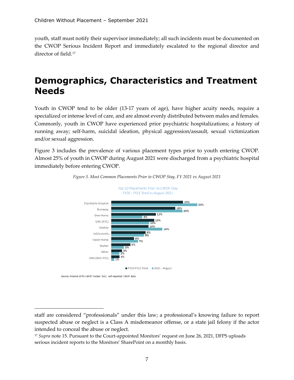youth, staff must notify their supervisor immediately; all such incidents must be documented on the CWOP Serious Incident Report and immediately escalated to the regional director and director of field.[17](#page-10-1)

## <span id="page-10-0"></span>**Demographics, Characteristics and Treatment Needs**

Youth in CWOP tend to be older (13-17 years of age), have higher acuity needs, require a specialized or intense level of care, and are almost evenly distributed between males and females. Commonly, youth in CWOP have experienced prior psychiatric hospitalizations; a history of running away; self-harm, suicidal ideation, physical aggression/assault, sexual victimization and/or sexual aggression.

Figure 3 includes the prevalence of various placement types prior to youth entering CWOP. Almost 25% of youth in CWOP during August 2021 were discharged from a psychiatric hospital immediately before entering CWOP.





Source: Internal DFPS CWOP tracker; SSCC self-reported CWOP data

staff are considered "professionals" under this law; a professional's knowing failure to report suspected abuse or neglect is a Class A misdemeanor offense, or a state jail felony if the actor intended to conceal the abuse or neglect.

<span id="page-10-1"></span><sup>&</sup>lt;sup>17</sup> *Supra* note 15. Pursuant to the Court-appointed Monitors' request on June 26, 2021, DFPS uploads serious incident reports to the Monitors' SharePoint on a monthly basis.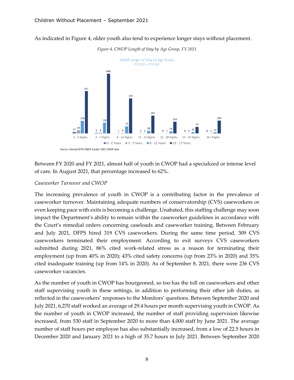As indicated in Figure 4, older youth also tend to experience longer stays without placement.



*Figure 4. CWOP Length of Stay by Age Group, FY 2021*

Between FY 2020 and FY 2021, almost half of youth in CWOP had a specialized or intense level of care. In August 2021, that percentage increased to 62%.

#### *Caseworker Turnover and CWOP*

The increasing prevalence of youth in CWOP is a contributing factor in the prevalence of caseworker turnover. Maintaining adequate numbers of conservatorship (CVS) caseworkers or even keeping pace with exits is becoming a challenge. Unabated, this staffing challenge may soon impact the Department's ability to remain within the caseworker guidelines in accordance with the Court's remedial orders concerning caseloads and caseworker training. Between February and July 2021, DFPS hired 319 CVS caseworkers. During the same time period, 309 CVS caseworkers terminated their employment. According to exit surveys CVS caseworkers submitted during 2021, 86% cited work-related stress as a reason for terminating their employment (up from 40% in 2020); 43% cited safety concerns (up from 23% in 2020) and 35% cited inadequate training (up from 14% in 2020). As of September 8, 2021, there were 236 CVS caseworker vacancies.

As the number of youth in CWOP has bourgeoned, so too has the toll on caseworkers and other staff supervising youth in these settings, in addition to performing their other job duties, as reflected in the caseworkers' responses to the Monitors' questions. Between September 2020 and July 2021, 6,270 staff worked an average of 29.4 hours per month supervising youth in CWOP. As the number of youth in CWOP increased, the number of staff providing supervision likewise increased, from 530 staff in September 2020 to more than 4,000 staff by June 2021. The average number of staff hours per employee has also substantially increased, from a low of 22.5 hours in December 2020 and January 2021 to a high of 35.7 hours in July 2021. Between September 2020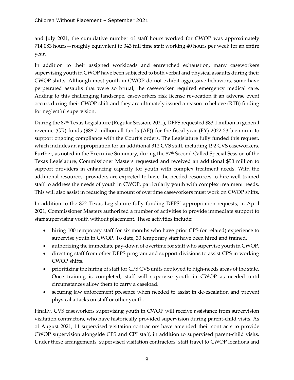and July 2021, the cumulative number of staff hours worked for CWOP was approximately 714,083 hours—roughly equivalent to 343 full time staff working 40 hours per week for an entire year.

In addition to their assigned workloads and entrenched exhaustion, many caseworkers supervising youth in CWOP have been subjected to both verbal and physical assaults during their CWOP shifts. Although most youth in CWOP do not exhibit aggressive behaviors, some have perpetrated assaults that were so brutal, the caseworker required emergency medical care. Adding to this challenging landscape, caseworkers risk license revocation if an adverse event occurs during their CWOP shift and they are ultimately issued a reason to believe (RTB) finding for neglectful supervision.

During the 87<sup>th</sup> Texas Legislature (Regular Session, 2021), DFPS requested \$83.1 million in general revenue (GR) funds (\$88.7 million all funds (AF)) for the fiscal year (FY) 2022-23 biennium to support ongoing compliance with the Court's orders. The Legislature fully funded this request, which includes an appropriation for an additional 312 CVS staff, including 192 CVS caseworkers. Further, as noted in the Executive Summary, during the 87<sup>th</sup> Second Called Special Session of the Texas Legislature, Commissioner Masters requested and received an additional \$90 million to support providers in enhancing capacity for youth with complex treatment needs. With the additional resources, providers are expected to have the needed resources to hire well-trained staff to address the needs of youth in CWOP, particularly youth with complex treatment needs. This will also assist in reducing the amount of overtime caseworkers must work on CWOP shifts.

In addition to the 87th Texas Legislature fully funding DFPS' appropriation requests, in April 2021, Commissioner Masters authorized a number of activities to provide immediate support to staff supervising youth without placement. These activities include:

- hiring 100 temporary staff for six months who have prior CPS (or related) experience to supervise youth in CWOP. To date, 33 temporary staff have been hired and trained.
- authorizing the immediate pay-down of overtime for staff who supervise youth in CWOP.
- directing staff from other DFPS program and support divisions to assist CPS in working CWOP shifts.
- prioritizing the hiring of staff for CPS CVS units deployed to high-needs areas of the state. Once training is completed, staff will supervise youth in CWOP as needed until circumstances allow them to carry a caseload.
- securing law enforcement presence when needed to assist in de-escalation and prevent physical attacks on staff or other youth.

Finally, CVS caseworkers supervising youth in CWOP will receive assistance from supervision visitation contractors, who have historically provided supervision during parent-child visits. As of August 2021, 11 supervised visitation contractors have amended their contracts to provide CWOP supervision alongside CPS and CPI staff, in addition to supervised parent-child visits. Under these arrangements, supervised visitation contractors' staff travel to CWOP locations and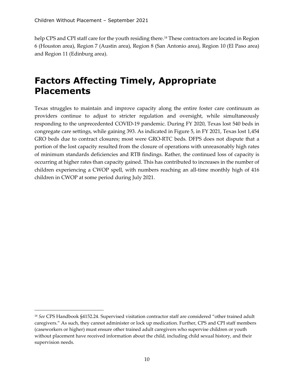help CPS and CPI staff care for the youth residing there.<sup>[18](#page-13-1)</sup> These contractors are located in Region 6 (Houston area), Region 7 (Austin area), Region 8 (San Antonio area), Region 10 (El Paso area) and Region 11 (Edinburg area).

## <span id="page-13-0"></span>**Factors Affecting Timely, Appropriate Placements**

Texas struggles to maintain and improve capacity along the entire foster care continuum as providers continue to adjust to stricter regulation and oversight, while simultaneously responding to the unprecedented COVID-19 pandemic. During FY 2020, Texas lost 540 beds in congregate care settings, while gaining 393. As indicated in Figure 5, in FY 2021, Texas lost 1,454 GRO beds due to contract closures; most were GRO-RTC beds. DFPS does not dispute that a portion of the lost capacity resulted from the closure of operations with unreasonably high rates of minimum standards deficiencies and RTB findings. Rather, the continued loss of capacity is occurring at higher rates than capacity gained. This has contributed to increases in the number of children experiencing a CWOP spell, with numbers reaching an all-time monthly high of 416 children in CWOP at some period during July 2021.

<span id="page-13-1"></span><sup>18</sup> *See* CPS Handbook §4152.24. Supervised visitation contractor staff are considered "other trained adult caregivers." As such, they cannot administer or lock up medication. Further, CPS and CPI staff members (caseworkers or higher) must ensure other trained adult caregivers who supervise children or youth without placement have received information about the child, including child sexual history, and their supervision needs.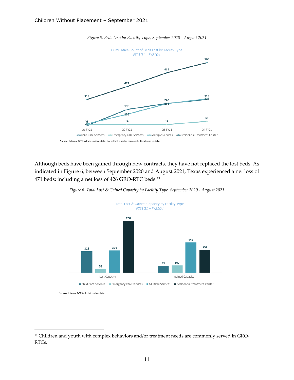

*Figure 5. Beds Lost by Facility Type, September 2020 - August 2021*

Although beds have been gained through new contracts, they have not replaced the lost beds. As indicated in Figure 6, between September 2020 and August 2021, Texas experienced a net loss of 471 beds; including a net loss of 426 GRO-RTC beds.[19](#page-14-0)



*Figure 6. Total Lost & Gained Capacity by Facility Type, September 2020 - August 2021*

<span id="page-14-0"></span><sup>&</sup>lt;sup>19</sup> Children and youth with complex behaviors and/or treatment needs are commonly served in GRO-RTCs.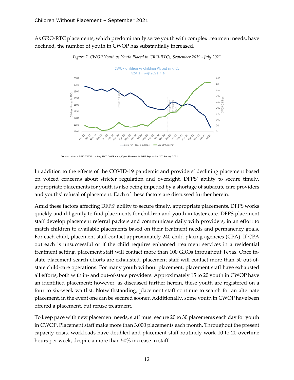As GRO-RTC placements, which predominantly serve youth with complex treatment needs, have declined, the number of youth in CWOP has substantially increased.



*Figure 7. CWOP Youth vs Youth Placed in GRO-RTCs, September 2019 - July 2021*

In addition to the effects of the COVID-19 pandemic and providers' declining placement based on voiced concerns about stricter regulation and oversight, DFPS' ability to secure timely, appropriate placements for youth is also being impeded by a shortage of subacute care providers and youths' refusal of placement. Each of these factors are discussed further herein.

Amid these factors affecting DFPS' ability to secure timely, appropriate placements, DFPS works quickly and diligently to find placements for children and youth in foster care. DFPS placement staff develop placement referral packets and communicate daily with providers, in an effort to match children to available placements based on their treatment needs and permanency goals. For each child, placement staff contact approximately 240 child placing agencies (CPA). If CPA outreach is unsuccessful or if the child requires enhanced treatment services in a residential treatment setting, placement staff will contact more than 100 GROs throughout Texas. Once instate placement search efforts are exhausted, placement staff will contact more than 50 out-ofstate child-care operations. For many youth without placement, placement staff have exhausted all efforts, both with in- and out-of-state providers. Approximately 15 to 20 youth in CWOP have an identified placement; however, as discussed further herein, these youth are registered on a four to six-week waitlist. Notwithstanding, placement staff continue to search for an alternate placement, in the event one can be secured sooner. Additionally, some youth in CWOP have been offered a placement, but refuse treatment.

To keep pace with new placement needs, staff must secure 20 to 30 placements each day for youth in CWOP. Placement staff make more than 3,000 placements each month. Throughout the present capacity crisis, workloads have doubled and placement staff routinely work 10 to 20 overtime hours per week, despite a more than 50% increase in staff.

Source: Internal DFPS CWOP tracker; SSCC CWOP data, Open Placements DRIT September 2019 - July 2021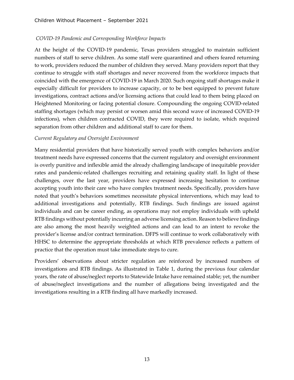## *COVID-19 Pandemic and Corresponding Workforce Impacts*

At the height of the COVID-19 pandemic, Texas providers struggled to maintain sufficient numbers of staff to serve children. As some staff were quarantined and others feared returning to work, providers reduced the number of children they served. Many providers report that they continue to struggle with staff shortages and never recovered from the workforce impacts that coincided with the emergence of COVID-19 in March 2020. Such ongoing staff shortages make it especially difficult for providers to increase capacity, or to be best equipped to prevent future investigations, contract actions and/or licensing actions that could lead to them being placed on Heightened Monitoring or facing potential closure. Compounding the ongoing COVID-related staffing shortages (which may persist or worsen amid this second wave of increased COVID-19 infections), when children contracted COVID, they were required to isolate, which required separation from other children and additional staff to care for them.

### *Current Regulatory and Oversight Environment*

Many residential providers that have historically served youth with complex behaviors and/or treatment needs have expressed concerns that the current regulatory and oversight environment is overly punitive and inflexible amid the already challenging landscape of inequitable provider rates and pandemic-related challenges recruiting and retaining quality staff. In light of these challenges, over the last year, providers have expressed increasing hesitation to continue accepting youth into their care who have complex treatment needs. Specifically, providers have noted that youth's behaviors sometimes necessitate physical interventions, which may lead to additional investigations and potentially, RTB findings. Such findings are issued against individuals and can be career ending, as operations may not employ individuals with upheld RTB findings without potentially incurring an adverse licensing action. Reason to believe findings are also among the most heavily weighted actions and can lead to an intent to revoke the provider's license and/or contract termination. DFPS will continue to work collaboratively with HHSC to determine the appropriate thresholds at which RTB prevalence reflects a pattern of practice that the operation must take immediate steps to cure.

Providers' observations about stricter regulation are reinforced by increased numbers of investigations and RTB findings. As illustrated in Table 1, during the previous four calendar years, the rate of abuse/neglect reports to Statewide Intake have remained stable; yet, the number of abuse/neglect investigations and the number of allegations being investigated and the investigations resulting in a RTB finding all have markedly increased.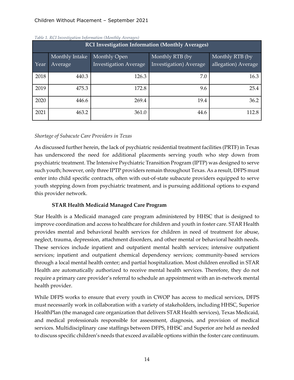## Children Without Placement – September 2021

| TWEE T. INCT HIVESH YAHUN THIUN MAHUN (TYTUNING TIVEN YES) |                |                              |                        |                     |  |  |  |
|------------------------------------------------------------|----------------|------------------------------|------------------------|---------------------|--|--|--|
| <b>RCI Investigation Information (Monthly Averages)</b>    |                |                              |                        |                     |  |  |  |
|                                                            | Monthly Intake | Monthly Open                 | Monthly RTB (by        | Monthly RTB (by     |  |  |  |
| Year                                                       | Average        | <b>Investigation Average</b> | Investigation) Average | allegation) Average |  |  |  |
| 2018                                                       | 440.3          | 126.3                        | 7.0                    | 16.3                |  |  |  |
| 2019                                                       | 475.3          | 172.8                        | 9.6                    | 25.4                |  |  |  |
| 2020                                                       | 446.6          | 269.4                        | 19.4                   | 36.2                |  |  |  |
| 2021                                                       | 463.2          | 361.0                        | 44.6                   | 112.8               |  |  |  |

#### *Table 1. RCI Investigation Information (Monthly Averages)*

### *Shortage of Subacute Care Providers in Texas*

As discussed further herein, the lack of psychiatric residential treatment facilities (PRTF) in Texas has underscored the need for additional placements serving youth who step down from psychiatric treatment. The Intensive Psychiatric Transition Program (IPTP) was designed to serve such youth; however, only three IPTP providers remain throughout Texas. As a result, DFPS must enter into child specific contracts, often with out-of-state subacute providers equipped to serve youth stepping down from psychiatric treatment, and is pursuing additional options to expand this provider network.

## **STAR Health Medicaid Managed Care Program**

Star Health is a Medicaid managed care program administered by HHSC that is designed to improve coordination and access to healthcare for children and youth in foster care. STAR Health provides mental and behavioral health services for children in need of treatment for abuse, neglect, trauma, depression, attachment disorders, and other mental or behavioral health needs. These services include inpatient and outpatient mental health services; intensive outpatient services; inpatient and outpatient chemical dependency services; community-based services through a local mental health center; and partial hospitalization. Most children enrolled in STAR Health are automatically authorized to receive mental health services. Therefore, they do not require a primary care provider's referral to schedule an appointment with an in-network mental health provider.

While DFPS works to ensure that every youth in CWOP has access to medical services, DFPS must necessarily work in collaboration with a variety of stakeholders, including HHSC, Superior HealthPlan (the managed care organization that delivers STAR Health services), Texas Medicaid, and medical professionals responsible for assessment, diagnosis, and provision of medical services. Multidisciplinary case staffings between DFPS, HHSC and Superior are held as needed to discuss specific children's needs that exceed available options within the foster care continuum.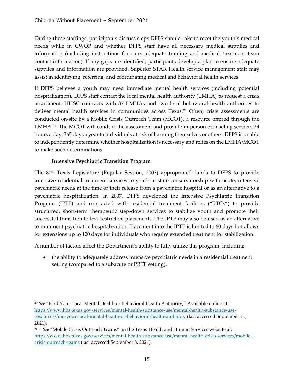During these staffings, participants discuss steps DFPS should take to meet the youth's medical needs while in CWOP and whether DFPS staff have all necessary medical supplies and information (including instructions for care, adequate training and medical treatment team contact information). If any gaps are identified, participants develop a plan to ensure adequate supplies and information are provided. Superior STAR Health service management staff may assist in identifying, referring, and coordinating medical and behavioral health services.

If DFPS believes a youth may need immediate mental health services (including potential hospitalization), DFPS staff contact the local mental health authority (LMHA) to request a crisis assessment. HHSC contracts with 37 LMHAs and two local behavioral health authorities to deliver mental health services in communities across Texas.<sup>[20](#page-18-0)</sup> Often, crisis assessments are conducted on-site by a Mobile Crisis Outreach Team (MCOT), a resource offered through the LMHA.<sup>21</sup> The MCOT will conduct the assessment and provide in-person counseling services 24 hours a day, 365 days a year to individuals at risk of harming themselves or others. DFPS is unable to independently determine whether hospitalization is necessary and relies on the LMHA/MCOT to make such determinations.

## **Intensive Psychiatric Transition Program**

The 80th Texas Legislature (Regular Session, 2007) appropriated funds to DFPS to provide intensive residential treatment services to youth in state conservatorship with acute, intensive psychiatric needs at the time of their release from a psychiatric hospital or as an alternative to a psychiatric hospitalization. In 2007, DFPS developed the Intensive Psychiatric Transition Program (IPTP) and contracted with residential treatment facilities ("RTCs") to provide structured, short-term therapeutic step-down services to stabilize youth and promote their successful transition to less restrictive placements. The IPTP may also be used as an alternative to imminent psychiatric hospitalization. Placement into the IPTP is limited to 60 days but allows for extensions up to 120 days for individuals who require extended treatment for stabilization.

A number of factors affect the Department's ability to fully utilize this program, including:

• the ability to adequately address intensive psychiatric needs in a residential treatment setting (compared to a subacute or PRTF setting),

<span id="page-18-0"></span><sup>20</sup> *See* "Find Your Local Mental Health or Behavioral Health Authority," Available online at: [https://www.hhs.texas.gov/services/mental-health-substance-use/mental-health-substance-use](https://www.hhs.texas.gov/services/mental-health-substance-use/mental-health-substance-use-resources/find-your-local-mental-health-or-behavioral-health-authority)[resources/find-your-local-mental-health-or-behavioral-health-authority](https://www.hhs.texas.gov/services/mental-health-substance-use/mental-health-substance-use-resources/find-your-local-mental-health-or-behavioral-health-authority) (last accessed September 11, 2021).

<span id="page-18-1"></span><sup>21</sup> <sup>21</sup> *See* "Mobile Crisis Outreach Teams" on the Texas Health and Human Services website at: [https://www.hhs.texas.gov/services/mental-health-substance-use/mental-health-crisis-services/mobile](https://www.hhs.texas.gov/services/mental-health-substance-use/mental-health-crisis-services/mobile-crisis-outreach-teams)[crisis-outreach-teams](https://www.hhs.texas.gov/services/mental-health-substance-use/mental-health-crisis-services/mobile-crisis-outreach-teams) (last accessed September 8, 2021).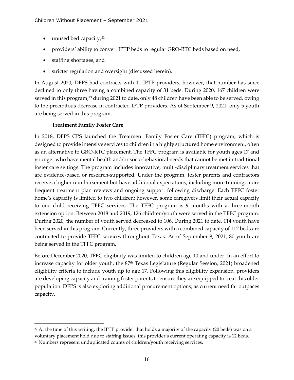- $\bullet$  unused bed capacity,  $22$
- providers' ability to convert IPTP beds to regular GRO-RTC beds based on need,
- staffing shortages, and
- stricter regulation and oversight (discussed herein).

In August 2020, DFPS had contracts with 11 IPTP providers; however, that number has since declined to only three having a combined capacity of 31 beds. During 2020, 167 children were served in this program;<sup>[23](#page-19-1)</sup> during 2021 to date, only 48 children have been able to be served, owing to the precipitous decrease in contracted IPTP providers. As of September 9, 2021, only 5 youth are being served in this program.

## **Treatment Family Foster Care**

In 2018, DFPS CPS launched the Treatment Family Foster Care (TFFC) program, which is designed to provide intensive services to children in a highly structured home environment, often as an alternative to GRO-RTC placement. The TFFC program is available for youth ages 17 and younger who have mental health and/or socio-behavioral needs that cannot be met in traditional foster care settings. The program includes innovative, multi-disciplinary treatment services that are evidence-based or research-supported. Under the program, foster parents and contractors receive a higher reimbursement but have additional expectations, including more training, more frequent treatment plan reviews and ongoing support following discharge. Each TFFC foster home's capacity is limited to two children; however, some caregivers limit their actual capacity to one child receiving TFFC services. The TFFC program is 9 months with a three-month extension option. Between 2018 and 2019, 126 children/youth were served in the TFFC program. During 2020, the number of youth served decreased to 106. During 2021 to date, 114 youth have been served in this program. Currently, three providers with a combined capacity of 112 beds are contracted to provide TFFC services throughout Texas. As of September 9, 2021, 80 youth are being served in the TFFC program.

Before December 2020, TFFC eligibility was limited to children age 10 and under. In an effort to increase capacity for older youth, the 87<sup>th</sup> Texas Legislature (Regular Session, 2021) broadened eligibility criteria to include youth up to age 17. Following this eligibility expansion, providers are developing capacity and training foster parents to ensure they are equipped to treat this older population. DFPS is also exploring additional procurement options, as current need far outpaces capacity.

<span id="page-19-0"></span> $22$  At the time of this writing, the IPTP provider that holds a majority of the capacity (20 beds) was on a voluntary placement hold due to staffing issues; this provider's current operating capacity is 12 beds.

<span id="page-19-1"></span><sup>&</sup>lt;sup>23</sup> Numbers represent unduplicated counts of children/youth receiving services.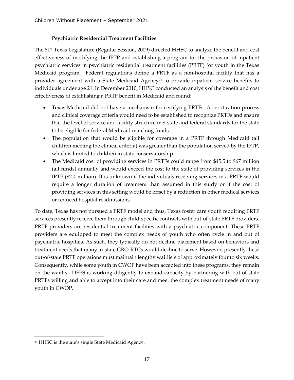## **Psychiatric Residential Treatment Facilities**

The 81st Texas Legislature (Regular Session, 2009) directed HHSC to analyze the benefit and cost effectiveness of modifying the IPTP and establishing a program for the provision of inpatient psychiatric services in psychiatric residential treatment facilities (PRTF) for youth in the Texas Medicaid program. Federal regulations define a PRTF as a non-hospital facility that has a provider agreement with a State Medicaid Agency<sup>[24](#page-20-0)</sup> to provide inpatient service benefits to individuals under age 21. In December 2010, HHSC conducted an analysis of the benefit and cost effectiveness of establishing a PRTF benefit in Medicaid and found:

- Texas Medicaid did not have a mechanism for certifying PRTFs. A certification process and clinical coverage criteria would need to be established to recognize PRTFs and ensure that the level of service and facility structure met state and federal standards for the state to be eligible for federal Medicaid matching funds.
- The population that would be eligible for coverage in a PRTF through Medicaid (all children meeting the clinical criteria) was greater than the population served by the IPTP, which is limited to children in state conservatorship.
- The Medicaid cost of providing services in PRTFs could range from \$45.5 to \$67 million (all funds) annually and would exceed the cost to the state of providing services in the IPTP (\$2.4 million). It is unknown if the individuals receiving services in a PRTF would require a longer duration of treatment than assumed in this study or if the cost of providing services in this setting would be offset by a reduction in other medical services or reduced hospital readmissions.

To date, Texas has not pursued a PRTF model and thus, Texas foster care youth requiring PRTF services presently receive them through child-specific contracts with out-of-state PRTF providers. PRTF providers are residential treatment facilities with a psychiatric component. These PRTF providers are equipped to meet the complex needs of youth who often cycle in and out of psychiatric hospitals. As such, they typically do not decline placement based on behaviors and treatment needs that many in-state GRO-RTCs would decline to serve. However, presently these out-of-state PRTF operations must maintain lengthy waitlists of approximately four to six weeks. Consequently, while some youth in CWOP have been accepted into these programs, they remain on the waitlist. DFPS is working diligently to expand capacity by partnering with out-of-state PRTFs willing and able to accept into their care and meet the complex treatment needs of many youth in CWOP.

<span id="page-20-0"></span><sup>24</sup> HHSC is the state's single State Medicaid Agency.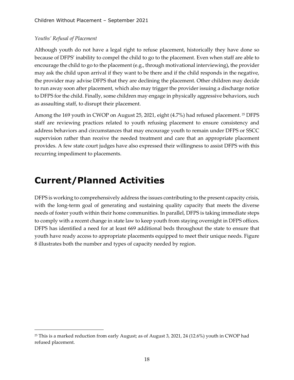## *Youths' Refusal of Placement*

Although youth do not have a legal right to refuse placement, historically they have done so because of DFPS' inability to compel the child to go to the placement. Even when staff are able to encourage the child to go to the placement (e.g., through motivational interviewing), the provider may ask the child upon arrival if they want to be there and if the child responds in the negative, the provider may advise DFPS that they are declining the placement. Other children may decide to run away soon after placement, which also may trigger the provider issuing a discharge notice to DFPS for the child. Finally, some children may engage in physically aggressive behaviors, such as assaulting staff, to disrupt their placement.

Among the 169 youth in CWOP on August [25](#page-21-1), 2021, eight (4.7%) had refused placement. <sup>25</sup> DFPS staff are reviewing practices related to youth refusing placement to ensure consistency and address behaviors and circumstances that may encourage youth to remain under DFPS or SSCC supervision rather than receive the needed treatment and care that an appropriate placement provides. A few state court judges have also expressed their willingness to assist DFPS with this recurring impediment to placements.

## <span id="page-21-0"></span>**Current/Planned Activities**

DFPS is working to comprehensively address the issues contributing to the present capacity crisis, with the long-term goal of generating and sustaining quality capacity that meets the diverse needs of foster youth within their home communities. In parallel, DFPS is taking immediate steps to comply with a recent change in state law to keep youth from staying overnight in DFPS offices. DFPS has identified a need for at least 669 additional beds throughout the state to ensure that youth have ready access to appropriate placements equipped to meet their unique needs. Figure 8 illustrates both the number and types of capacity needed by region.

<span id="page-21-1"></span> $25$  This is a marked reduction from early August; as of August 3, 2021, 24 (12.6%) youth in CWOP had refused placement.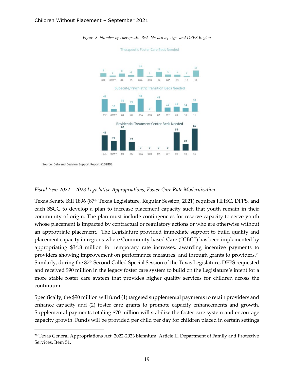

*Figure 8. Number of Therapeutic Beds Needed by Type and DFPS Region*

Therapeutic Foster Care Beds Needed

Source: Data and Decision Support Report #102893

#### *Fiscal Year 2022 – 2023 Legislative Appropriations; Foster Care Rate Modernization*

Texas Senate Bill 1896 (87th Texas Legislature, Regular Session, 2021) requires HHSC, DFPS, and each SSCC to develop a plan to increase placement capacity such that youth remain in their community of origin. The plan must include contingencies for reserve capacity to serve youth whose placement is impacted by contractual or regulatory actions or who are otherwise without an appropriate placement. The Legislature provided immediate support to build quality and placement capacity in regions where Community-based Care ("CBC") has been implemented by appropriating \$34.8 million for temporary rate increases, awarding incentive payments to providers showing improvement on performance measures, and through grants to providers.[26](#page-22-0) Similarly, during the 87th Second Called Special Session of the Texas Legislature, DFPS requested and received \$90 million in the legacy foster care system to build on the Legislature's intent for a more stable foster care system that provides higher quality services for children across the continuum.

Specifically, the \$90 million will fund (1) targeted supplemental payments to retain providers and enhance capacity and (2) foster care grants to promote capacity enhancements and growth. Supplemental payments totaling \$70 million will stabilize the foster care system and encourage capacity growth. Funds will be provided per child per day for children placed in certain settings

<span id="page-22-0"></span><sup>26</sup> Texas General Appropriations Act, 2022-2023 biennium, Article II, Department of Family and Protective Services, Item 51.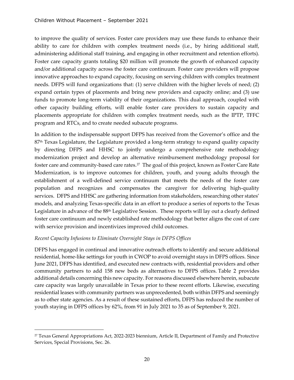to improve the quality of services. Foster care providers may use these funds to enhance their ability to care for children with complex treatment needs (i.e., by hiring additional staff, administering additional staff training, and engaging in other recruitment and retention efforts). Foster care capacity grants totaling \$20 million will promote the growth of enhanced capacity and/or additional capacity across the foster care continuum. Foster care providers will propose innovative approaches to expand capacity, focusing on serving children with complex treatment needs. DFPS will fund organizations that: (1) serve children with the higher levels of need; (2) expand certain types of placements and bring new providers and capacity online; and (3) use funds to promote long-term viability of their organizations. This dual approach, coupled with other capacity building efforts, will enable foster care providers to sustain capacity and placements appropriate for children with complex treatment needs, such as the IPTP, TFFC program and RTCs, and to create needed subacute programs.

In addition to the indispensable support DFPS has received from the Governor's office and the 87<sup>th</sup> Texas Legislature, the Legislature provided a long-term strategy to expand quality capacity by directing DFPS and HHSC to jointly undergo a comprehensive rate methodology modernization project and develop an alternative reimbursement methodology proposal for foster care and community-based care rates.<sup>[27](#page-23-0)</sup> The goal of this project, known as Foster Care Rate Modernization, is to improve outcomes for children, youth, and young adults through the establishment of a well-defined service continuum that meets the needs of the foster care population and recognizes and compensates the caregiver for delivering high-quality services. DFPS and HHSC are gathering information from stakeholders, researching other states' models, and analyzing Texas-specific data in an effort to produce a series of reports to the Texas Legislature in advance of the 88<sup>th</sup> Legislative Session. These reports will lay out a clearly defined foster care continuum and newly established rate methodology that better aligns the cost of care with service provision and incentivizes improved child outcomes.

### *Recent Capacity Infusions to Eliminate Overnight Stays in DFPS Offices*

DFPS has engaged in continual and innovative outreach efforts to identify and secure additional residential, home-like settings for youth in CWOP to avoid overnight stays in DFPS offices. Since June 2021, DFPS has identified, and executed new contracts with, residential providers and other community partners to add 158 new beds as alternatives to DFPS offices. Table 2 provides additional details concerning this new capacity. For reasons discussed elsewhere herein, subacute care capacity was largely unavailable in Texas prior to these recent efforts. Likewise, executing residential leases with community partners was unprecedented, both within DFPS and seemingly as to other state agencies. As a result of these sustained efforts, DFPS has reduced the number of youth staying in DFPS offices by 62%, from 91 in July 2021 to 35 as of September 9, 2021.

<span id="page-23-0"></span><sup>27</sup> Texas General Appropriations Act, 2022-2023 biennium, Article II, Department of Family and Protective Services, Special Provisions, Sec. 26.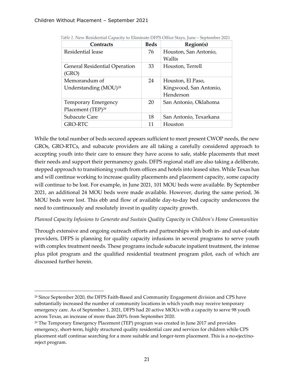| Contracts                         | <b>Beds</b> | Region(s)              |
|-----------------------------------|-------------|------------------------|
| Residential lease                 | 76          | Houston, San Antonio,  |
|                                   |             | Wallis                 |
| General Residential Operation     | 33          | Houston, Terrell       |
| (GRO)                             |             |                        |
| Memorandum of                     | 24          | Houston, El Paso,      |
| Understanding (MOU) <sup>28</sup> |             | Kingwood, San Antonio, |
|                                   |             | Henderson              |
| <b>Temporary Emergency</b>        | 20          | San Antonio, Oklahoma  |
| Placement (TEP) <sup>29</sup>     |             |                        |
| Subacute Care                     | 18          | San Antonio, Texarkana |
| <b>GRO-RTC</b>                    | 11          | Houston                |

 *Table 2.* New Residential Capacity to Eliminate DFPS Office Stays, June – September 2021

While the total number of beds secured appears sufficient to meet present CWOP needs, the new GROs, GRO-RTCs, and subacute providers are all taking a carefully considered approach to accepting youth into their care to ensure they have access to safe, stable placements that meet their needs and support their permanency goals. DFPS regional staff are also taking a deliberate, stepped approach to transitioning youth from offices and hotels into leased sites. While Texas has and will continue working to increase quality placements and placement capacity, some capacity will continue to be lost. For example, in June 2021, 101 MOU beds were available. By September 2021, an additional 24 MOU beds were made available. However, during the same period, 36 MOU beds were lost. This ebb and flow of available day-to-day bed capacity underscores the need to continuously and resolutely invest in quality capacity growth.

### *Planned Capacity Infusions to Generate and Sustain Quality Capacity in Children's Home Communities*

Through extensive and ongoing outreach efforts and partnerships with both in- and out-of-state providers, DFPS is planning for quality capacity infusions in several programs to serve youth with complex treatment needs. These programs include subacute inpatient treatment, the intense plus pilot program and the qualified residential treatment program pilot, each of which are discussed further herein.

<span id="page-24-0"></span><sup>&</sup>lt;sup>28</sup> Since September 2020, the DFPS Faith-Based and Community Engagement division and CPS have substantially increased the number of community locations in which youth may receive temporary emergency care. As of September 1, 2021, DFPS had 20 active MOUs with a capacity to serve 98 youth across Texas, an increase of more than 200% from September 2020.

<span id="page-24-1"></span><sup>29</sup> The Temporary Emergency Placement (TEP) program was created in June 2017 and provides emergency, short-term, highly structured quality residential care and services for children while CPS placement staff continue searching for a more suitable and longer-term placement. This is a no-eject/noreject program.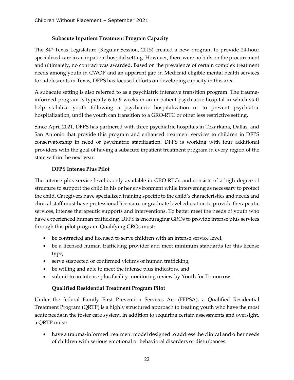## **Subacute Inpatient Treatment Program Capacity**

The 84th Texas Legislature (Regular Session, 2015) created a new program to provide 24-hour specialized care in an inpatient hospital setting. However, there were no bids on the procurement and ultimately, no contract was awarded. Based on the prevalence of certain complex treatment needs among youth in CWOP and an apparent gap in Medicaid eligible mental health services for adolescents in Texas, DFPS has focused efforts on developing capacity in this area.

A subacute setting is also referred to as a psychiatric intensive transition program. The traumainformed program is typically 6 to 9 weeks in an in-patient psychiatric hospital in which staff help stabilize youth following a psychiatric hospitalization or to prevent psychiatric hospitalization, until the youth can transition to a GRO-RTC or other less restrictive setting.

Since April 2021, DFPS has partnered with three psychiatric hospitals in Texarkana, Dallas, and San Antonio that provide this program and enhanced treatment services to children in DFPS conservatorship in need of psychiatric stabilization. DFPS is working with four additional providers with the goal of having a subacute inpatient treatment program in every region of the state within the next year.

## **DFPS Intense Plus Pilot**

The intense plus service level is only available in GRO-RTCs and consists of a high degree of structure to support the child in his or her environment while intervening as necessary to protect the child. Caregivers have specialized training specific to the child's characteristics and needs and clinical staff must have professional licensure or graduate level education to provide therapeutic services, intense therapeutic supports and interventions. To better meet the needs of youth who have experienced human trafficking, DFPS is encouraging GROs to provide intense plus services through this pilot program. Qualifying GROs must:

- be contracted and licensed to serve children with an intense service level,
- be a licensed human trafficking provider and meet minimum standards for this license type,
- serve suspected or confirmed victims of human trafficking,
- be willing and able to meet the intense plus indicators, and
- submit to an intense plus facility monitoring review by Youth for Tomorrow.

## **Qualified Residential Treatment Program Pilot**

Under the federal Family First Prevention Services Act (FFPSA), a Qualified Residential Treatment Program (QRTP) is a highly structured approach to treating youth who have the most acute needs in the foster care system. In addition to requiring certain assessments and oversight, a QRTP must:

• have a trauma-informed treatment model designed to address the clinical and other needs of children with serious emotional or behavioral disorders or disturbances.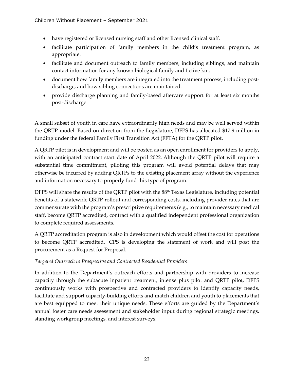- have registered or licensed nursing staff and other licensed clinical staff.
- facilitate participation of family members in the child's treatment program, as appropriate.
- facilitate and document outreach to family members, including siblings, and maintain contact information for any known biological family and fictive kin.
- document how family members are integrated into the treatment process, including postdischarge, and how sibling connections are maintained.
- provide discharge planning and family-based aftercare support for at least six months post-discharge.

A small subset of youth in care have extraordinarily high needs and may be well served within the QRTP model. Based on direction from the Legislature, DFPS has allocated \$17.9 million in funding under the federal Family First Transition Act (FFTA) for the QRTP pilot.

A QRTP pilot is in development and will be posted as an open enrollment for providers to apply, with an anticipated contract start date of April 2022. Although the QRTP pilot will require a substantial time commitment, piloting this program will avoid potential delays that may otherwise be incurred by adding QRTPs to the existing placement array without the experience and information necessary to properly fund this type of program.

DFPS will share the results of the QRTP pilot with the 88<sup>th</sup> Texas Legislature, including potential benefits of a statewide QRTP rollout and corresponding costs, including provider rates that are commensurate with the program's prescriptive requirements (e.g., to maintain necessary medical staff, become QRTP accredited, contract with a qualified independent professional organization to complete required assessments.

A QRTP accreditation program is also in development which would offset the cost for operations to become QRTP accredited. CPS is developing the statement of work and will post the procurement as a Request for Proposal.

## *Targeted Outreach to Prospective and Contracted Residential Providers*

In addition to the Department's outreach efforts and partnership with providers to increase capacity through the subacute inpatient treatment, intense plus pilot and QRTP pilot, DFPS continuously works with prospective and contracted providers to identify capacity needs, facilitate and support capacity-building efforts and match children and youth to placements that are best equipped to meet their unique needs. These efforts are guided by the Department's annual foster care needs assessment and stakeholder input during regional strategic meetings, standing workgroup meetings, and interest surveys.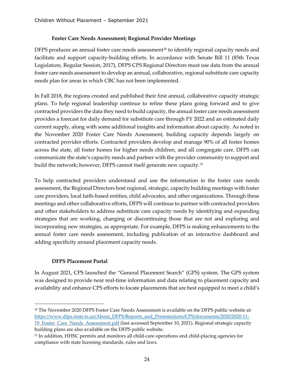## **Foster Care Needs Assessment; Regional Provider Meetings**

DFPS produces an annual foster care needs assessment $30$  to identify regional capacity needs and facilitate and support capacity-building efforts. In accordance with Senate Bill 11 (85th Texas Legislature, Regular Session, 2017), DFPS CPS Regional Directors must use data from the annual foster care needs assessment to develop an annual, collaborative, regional substitute care capacity needs plan for areas in which CBC has not been implemented.

In Fall 2018, the regions created and published their first annual, collaborative capacity strategic plans. To help regional leadership continue to refine these plans going forward and to give contracted providers the data they need to build capacity, the annual foster care needs assessment provides a forecast for daily demand for substitute care through FY 2022 and an estimated daily current supply, along with some additional insights and information about capacity. As noted in the November 2020 Foster Care Needs Assessment, building capacity depends largely on contracted provider efforts. Contracted providers develop and manage 90% of all foster homes across the state, all foster homes for higher needs children, and all congregate care. DFPS can communicate the state's capacity needs and partner with the provider community to support and build the network; however, DFPS cannot itself generate new capacity.<sup>[31](#page-27-1)</sup>

To help contracted providers understand and use the information in the foster care needs assessment, the Regional Directors host regional, strategic, capacity building meetings with foster care providers, local faith-based entities, child advocates, and other organizations. Through these meetings and other collaborative efforts, DFPS will continue to partner with contracted providers and other stakeholders to address substitute care capacity needs by identifying and expanding strategies that are working, changing or discontinuing those that are not and exploring and incorporating new strategies, as appropriate. For example, DFPS is making enhancements to the annual foster care needs assessment, including publication of an interactive dashboard and adding specificity around placement capacity needs.

## **DFPS Placement Portal**

In August 2021, CPS launched the "General Placement Search" (GPS) system. The GPS system was designed to provide near real-time information and data relating to placement capacity and availability and enhance CPS efforts to locate placements that are best equipped to meet a child's

<span id="page-27-0"></span><sup>&</sup>lt;sup>30</sup> The November 2020 DFPS Foster Care Needs Assessment is available on the DFPS public website at: [https://www.dfps.state.tx.us/About\\_DFPS/Reports\\_and\\_Presentations/CPS/documents/2020/2020-11-](https://www.dfps.state.tx.us/About_DFPS/Reports_and_Presentations/CPS/documents/2020/2020-11-19_Foster_Care_Needs_Assessment.pdf) 19 Foster\_Care\_Needs\_Assessment.pdf (last accessed September 10, 2021). Regional strategic capacity building plans are also available on the DFPS public website.

<span id="page-27-1"></span><sup>&</sup>lt;sup>31</sup> In addition, HHSC permits and monitors all child-care operations and child-placing agencies for compliance with state licensing standards, rules and laws.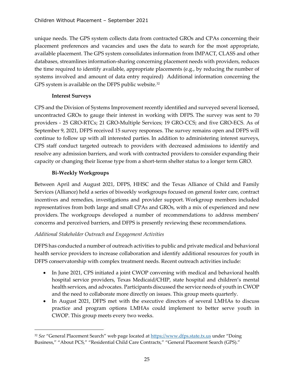unique needs. The GPS system collects data from contracted GROs and CPAs concerning their placement preferences and vacancies and uses the data to search for the most appropriate, available placement. The GPS system consolidates information from IMPACT, CLASS and other databases, streamlines information-sharing concerning placement needs with providers, reduces the time required to identify available, appropriate placements (e.g., by reducing the number of systems involved and amount of data entry required) Additional information concerning the GPS system is available on the DFPS public website.<sup>[32](#page-28-0)</sup>

## **Interest Surveys**

CPS and the Division of Systems Improvement recently identified and surveyed several licensed, uncontracted GROs to gauge their interest in working with DFPS. The survey was sent to 70 providers - 25 GRO-RTCs; 21 GRO-Multiple Services; 19 GRO-CCS; and five GRO-ECS. As of September 9, 2021, DFPS received 15 survey responses. The survey remains open and DFPS will continue to follow up with all interested parties. In addition to administering interest surveys, CPS staff conduct targeted outreach to providers with decreased admissions to identify and resolve any admission barriers, and work with contracted providers to consider expanding their capacity or changing their license type from a short-term shelter status to a longer term GRO.

## **Bi-Weekly Workgroups**

Between April and August 2021, DFPS, HHSC and the Texas Alliance of Child and Family Services (Alliance) held a series of biweekly workgroups focused on general foster care, contract incentives and remedies, investigations and provider support. Workgroup members included representatives from both large and small CPAs and GROs, with a mix of experienced and new providers. The workgroups developed a number of recommendations to address members' concerns and perceived barriers, and DFPS is presently reviewing these recommendations.

## *Additional Stakeholder Outreach and Engagement Activities*

DFPS has conducted a number of outreach activities to public and private medical and behavioral health service providers to increase collaboration and identify additional resources for youth in DFPS conservatorship with complex treatment needs. Recent outreach activities include:

- In June 2021, CPS initiated a joint CWOP convening with medical and behavioral health hospital service providers, Texas Medicaid/CHIP, state hospital and children's mental health services, and advocates. Participants discussed the service needs of youth in CWOP and the need to collaborate more directly on issues. This group meets quarterly.
- In August 2021, DFPS met with the executive directors of several LMHAs to discuss practice and program options LMHAs could implement to better serve youth in CWOP. This group meets every two weeks.

<span id="page-28-0"></span><sup>32</sup> *See* "General Placement Search" web page located at [https://www.dfps.state.tx.us](https://www.dfps.state.tx.us/) under "Doing Business," "About PCS," "Residential Child Care Contracts," "General Placement Search (GPS)."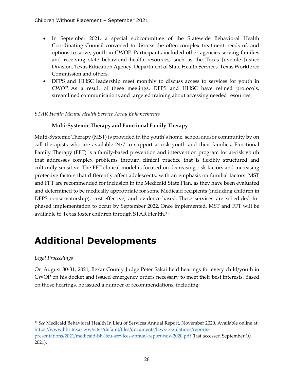- In September 2021, a special subcommittee of the Statewide Behavioral Health Coordinating Council convened to discuss the often-complex treatment needs of, and options to serve, youth in CWOP. Participants included other agencies serving families and receiving state behavioral health resources, such as the Texas Juvenile Justice Division, Texas Education Agency, Department of State Health Services, Texas Workforce Commission and others.
- DFPS and HHSC leadership meet monthly to discuss access to services for youth in CWOP. As a result of these meetings, DFPS and HHSC have refined protocols, streamlined communications and targeted training about accessing needed resources.

### *STAR Health Mental Health Service Array Enhancements*

### **Multi-Systemic Therapy and Functional Family Therapy**

Multi-Systemic Therapy (MST) is provided in the youth's home, school and/or community by on call therapists who are available 24/7 to support at-risk youth and their families. Functional Family Therapy (FFT) is a family-based prevention and intervention program for at-risk youth that addresses complex problems through clinical practice that is flexibly structured and culturally sensitive. The FFT clinical model is focused on decreasing risk factors and increasing protective factors that differently affect adolescents, with an emphasis on familial factors. MST and FFT are recommended for inclusion in the Medicaid State Plan, as they have been evaluated and determined to be medically appropriate for some Medicaid recipients (including children in DFPS conservatorship), cost-effective, and evidence-based. These services are scheduled for phased implementation to occur by September 2022. Once implemented, MST and FFT will be available to Texas foster children through STAR Health.<sup>[33](#page-29-1)</sup>

## <span id="page-29-0"></span>**Additional Developments**

### *Legal Proceedings*

On August 30-31, 2021, Bexar County Judge Peter Sakai held hearings for every child/youth in CWOP on his docket and issued emergency orders necessary to meet their best interests. Based on those hearings, he issued a number of recommendations, including:

<span id="page-29-1"></span><sup>33</sup> *See* Medicaid Behavioral Health In Lieu of Services Annual Report, November 2020. Available online at: [https://www.hhs.texas.gov/sites/default/files/documents/laws-regulations/reports](https://www.hhs.texas.gov/sites/default/files/documents/laws-regulations/reports-presentations/2021/medicaid-bh-lieu-services-annual-report-nov-2020.pdf)[presentations/2021/medicaid-bh-lieu-services-annual-report-nov-2020.pdf](https://www.hhs.texas.gov/sites/default/files/documents/laws-regulations/reports-presentations/2021/medicaid-bh-lieu-services-annual-report-nov-2020.pdf) (last accessed September 10, 2021).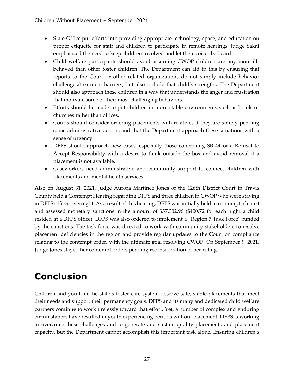- State Office put efforts into providing appropriate technology, space, and education on proper etiquette for staff and children to participate in remote hearings. Judge Sakai emphasized the need to keep children involved and let their voices be heard.
- Child welfare participants should avoid assuming CWOP children are any more illbehaved than other foster children. The Department can aid in this by ensuring that reports to the Court or other related organizations do not simply include behavior challenges/treatment barriers, but also include that child's strengths. The Department should also approach these children in a way that understands the anger and frustration that motivate some of their most challenging behaviors.
- Efforts should be made to put children in more stable environments such as hotels or churches rather than offices.
- Courts should consider ordering placements with relatives if they are simply pending some administrative actions and that the Department approach these situations with a sense of urgency.
- DFPS should approach new cases, especially those concerning SB 44 or a Refusal to Accept Responsibility with a desire to think outside the box and avoid removal if a placement is not available.
- Caseworkers need administrative and community support to connect children with placements and mental health services.

Also on August 31, 2021, Judge Aurora Martinez Jones of the 126th District Court in Travis County held a Contempt Hearing regarding DFPS and three children in CWOP who were staying in DFPS offices overnight. As a result of this hearing, DFPS was initially held in contempt of court and assessed monetary sanctions in the amount of \$57,302.96 (\$400.72 for each night a child resided at a DFPS office). DFPS was also ordered to implement a "Region 7 Task Force" funded by the sanctions. The task force was directed to work with community stakeholders to resolve placement deficiencies in the region and provide regular updates to the Court on compliance relating to the contempt order, with the ultimate goal resolving CWOP. On September 9, 2021, Judge Jones stayed her contempt orders pending reconsideration of her ruling.

## <span id="page-30-0"></span>**Conclusion**

Children and youth in the state's foster care system deserve safe, stable placements that meet their needs and support their permanency goals. DFPS and its many and dedicated child welfare partners continue to work tirelessly toward that effort. Yet, a number of complex and enduring circumstances have resulted in youth experiencing periods without placement. DFPS is working to overcome these challenges and to generate and sustain quality placements and placement capacity, but the Department cannot accomplish this important task alone. Ensuring children's